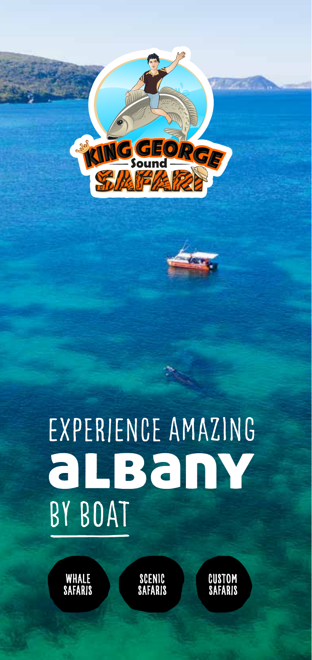

# EXPERIENCE AMAZING albany BY BOAT

 WHALE safaris

scenic safaris  custom safaris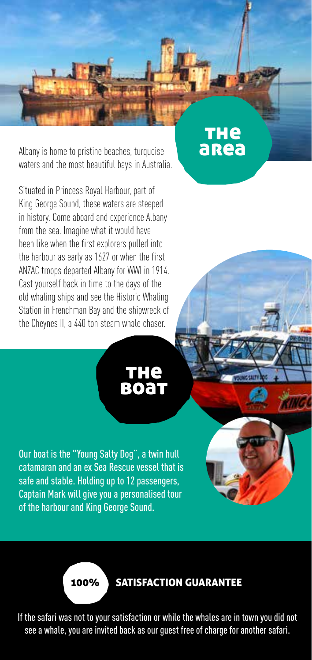Albany is home to pristine beaches, turquoise waters and the most beautiful bays in Australia.

Situated in Princess Royal Harbour, part of King George Sound, these waters are steeped in history. Come aboard and experience Albany from the sea. Imagine what it would have been like when the first explorers pulled into the harbour as early as 1627 or when the first ANZAC troops departed Albany for WWI in 1914. Cast yourself back in time to the days of the old whaling ships and see the Historic Whaling Station in Frenchman Bay and the shipwreck of the Cheynes II, a 440 ton steam whale chaser.

> **THe BOAT**

**THE**<br>area

Our boat is the "Young Salty Dog", a twin hull catamaran and an ex Sea Rescue vessel that is safe and stable. Holding up to 12 passengers, Captain Mark will give you a personalised tour of the harbour and King George Sound.



If the safari was not to your satisfaction or while the whales are in town you did not see a whale, you are invited back as our guest free of charge for another safari.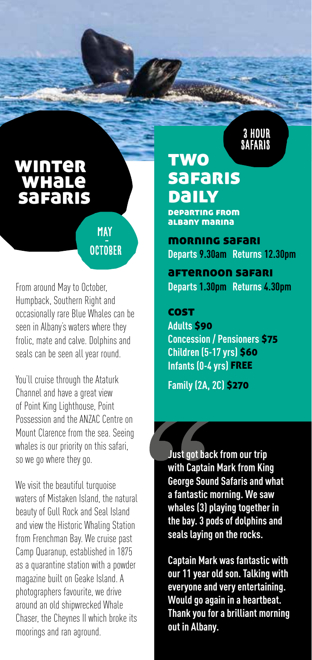# winter **WHALE** safaris

# **MAY OCTOBER**

From around May to October, Humpback, Southern Right and occasionally rare Blue Whales can be seen in Albany's waters where they frolic, mate and calve. Dolphins and seals can be seen all year round.

You'll cruise through the Ataturk Channel and have a great view of Point King Lighthouse, Point Possession and the ANZAC Centre on Mount Clarence from the sea. Seeing whales is our priority on this safari, so we go where they go.

We visit the beautiful turquoise waters of Mistaken Island, the natural beauty of Gull Rock and Seal Island and view the Historic Whaling Station from Frenchman Bay. We cruise past Camp Quaranup, established in 1875 as a quarantine station with a powder magazine built on Geake Island. A photographers favourite, we drive around an old shipwrecked Whale Chaser, the Cheynes II which broke its moorings and ran aground.

# SAFARIS **TWO safaris Daily**

departing from albany marina

morning safari **Departs 9.30am Returns 12.30pm**

3 HOUR

afternoon safari **Departs 1.30pm Returns 4.30pm**

#### **COST**

**Adults** \$90 **Concession / Pensioners** \$75 **Children (5-17 yrs)** \$60 **Infants (0-4 yrs)** FREE

**Family (2A, 2C)** \$270

**Just got back from our trip with Captain Mark from King George Sound Safaris and what a fantastic morning. We saw whales (3) playing together in the bay. 3 pods of dolphins and seals laying on the rocks.**

**Captain Mark was fantastic with our 11 year old son. Talking with everyone and very entertaining. Would go again in a heartbeat. Thank you for a brilliant morning out in Albany.**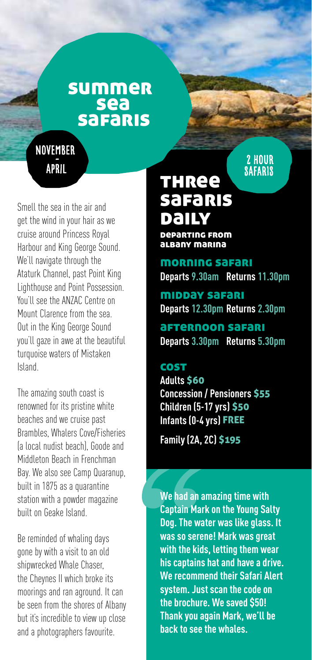# summer sea safaris

**NOVEMBER** april

Smell the sea in the air and get the wind in your hair as we cruise around Princess Royal Harbour and King George Sound. We'll navigate through the Ataturk Channel, past Point King Lighthouse and Point Possession. You'll see the ANZAC Centre on Mount Clarence from the sea. Out in the King George Sound you'll gaze in awe at the beautiful turquoise waters of Mistaken Island.

The amazing south coast is renowned for its pristine white beaches and we cruise past Brambles, Whalers Cove/Fisheries (a local nudist beach), Goode and Middleton Beach in Frenchman Bay. We also see Camp Quaranup, built in 1875 as a quarantine station with a powder magazine built on Geake Island.

Be reminded of whaling days gone by with a visit to an old shipwrecked Whale Chaser, the Cheynes II which broke its moorings and ran aground. It can be seen from the shores of Albany but it's incredible to view up close and a photographers favourite.

# **THRee** safaris daily

departing from albany marina

morning safari **Departs 9.30am Returns 11.30pm**

2 HOUR **SAFARIS** 

midday safari **Departs 12.30pm Returns 2.30pm**

afternoon safari **Departs 3.30pm Returns 5.30pm**

#### cost

**Adults** \$60 **Concession / Pensioners** \$55 **Children (5-17 yrs)** \$50 **Infants (0-4 yrs)** FREE

**Family (2A, 2C)** \$195

**We had an amazing time with Captain Mark on the Young Salty Dog. The water was like glass. It was so serene! Mark was great with the kids, letting them wear his captains hat and have a drive. We recommend their Safari Alert system. Just scan the code on the brochure. We saved \$50! Thank you again Mark, we'll be back to see the whales.**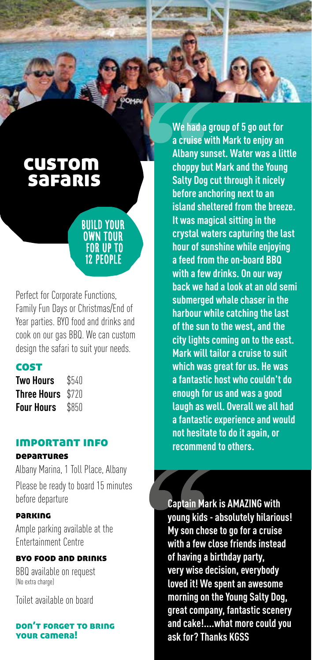

# custom safaris

## build your own tour for up to 12 people

Perfect for Corporate Functions, Family Fun Days or Christmas/End of Year parties. BYO food and drinks and cook on our gas BBQ. We can custom design the safari to suit your needs.

## **COST**

| Two Hours   | \$540 |
|-------------|-------|
| Three Hours | \$720 |
| Four Hours  | \$850 |

### important info

#### departures

Albany Marina, 1 Toll Place, Albany Please be ready to board 15 minutes before departure

### parking

Ample parking available at the Entertainment Centre

#### byo food and drinks

BBQ available on request (No extra charge)

Toilet available on board

#### don't forget to bring our camera!

**We had a group of 5 go out for a cruise with Mark to enjoy an Albany sunset. Water was a little choppy but Mark and the Young Salty Dog cut through it nicely before anchoring next to an island sheltered from the breeze. It was magical sitting in the crystal waters capturing the last hour of sunshine while enjoying a feed from the on-board BBQ with a few drinks. On our way back we had a look at an old semi submerged whale chaser in the harbour while catching the last of the sun to the west, and the city lights coming on to the east. Mark will tailor a cruise to suit which was great for us. He was a fantastic host who couldn't do enough for us and was a good laugh as well. Overall we all had a fantastic experience and would not hesitate to do it again, or recommend to others.**

**Captain Mark is AMAZING with young kids - absolutely hilarious! My son chose to go for a cruise with a few close friends instead of having a birthday party, very wise decision, everybody loved it! We spent an awesome morning on the Young Salty Dog, great company, fantastic scenery and cake!....what more could you ask for? Thanks KGSS**